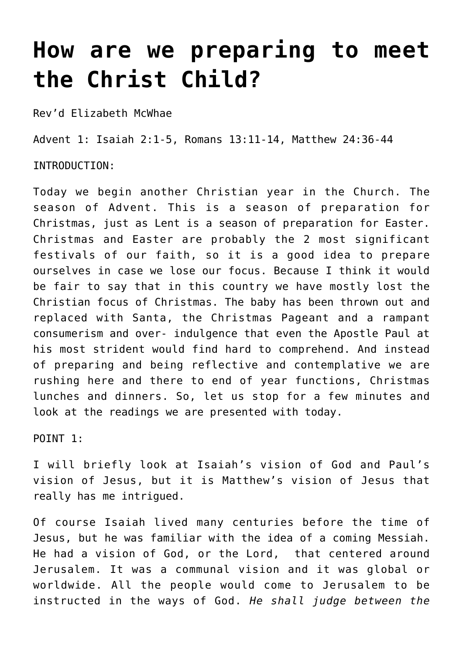## **[How are we preparing to meet](http://stjohnsadelaide.org.au/how-are-we-preparing-to-meet-the-christ-child/) [the Christ Child?](http://stjohnsadelaide.org.au/how-are-we-preparing-to-meet-the-christ-child/)**

Rev'd Elizabeth McWhae

Advent 1: Isaiah 2:1-5, Romans 13:11-14, Matthew 24:36-44

INTRODUCTION:

Today we begin another Christian year in the Church. The season of Advent. This is a season of preparation for Christmas, just as Lent is a season of preparation for Easter. Christmas and Easter are probably the 2 most significant festivals of our faith, so it is a good idea to prepare ourselves in case we lose our focus. Because I think it would be fair to say that in this country we have mostly lost the Christian focus of Christmas. The baby has been thrown out and replaced with Santa, the Christmas Pageant and a rampant consumerism and over- indulgence that even the Apostle Paul at his most strident would find hard to comprehend. And instead of preparing and being reflective and contemplative we are rushing here and there to end of year functions, Christmas lunches and dinners. So, let us stop for a few minutes and look at the readings we are presented with today.

POINT 1:

I will briefly look at Isaiah's vision of God and Paul's vision of Jesus, but it is Matthew's vision of Jesus that really has me intrigued.

Of course Isaiah lived many centuries before the time of Jesus, but he was familiar with the idea of a coming Messiah. He had a vision of God, or the Lord, that centered around Jerusalem. It was a communal vision and it was global or worldwide. All the people would come to Jerusalem to be instructed in the ways of God. *He shall judge between the*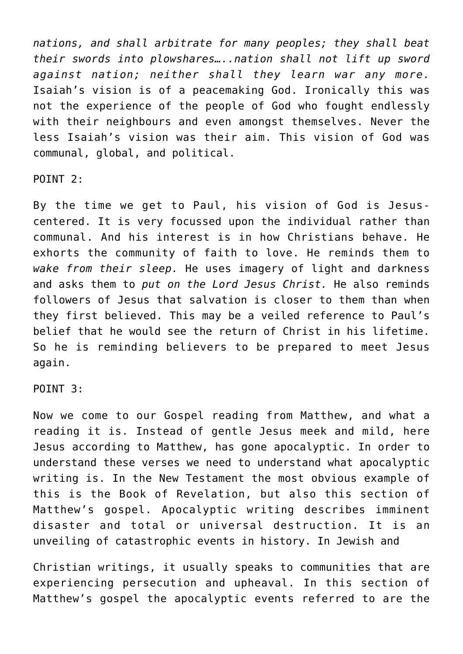*nations, and shall arbitrate for many peoples; they shall beat their swords into plowshares…..nation shall not lift up sword against nation; neither shall they learn war any more.* Isaiah's vision is of a peacemaking God. Ironically this was not the experience of the people of God who fought endlessly with their neighbours and even amongst themselves. Never the less Isaiah's vision was their aim. This vision of God was communal, global, and political.

POINT 2:

By the time we get to Paul, his vision of God is Jesuscentered. It is very focussed upon the individual rather than communal. And his interest is in how Christians behave. He exhorts the community of faith to love. He reminds them to *wake from their sleep.* He uses imagery of light and darkness and asks them to *put on the Lord Jesus Christ.* He also reminds followers of Jesus that salvation is closer to them than when they first believed. This may be a veiled reference to Paul's belief that he would see the return of Christ in his lifetime. So he is reminding believers to be prepared to meet Jesus again.

POINT 3:

Now we come to our Gospel reading from Matthew, and what a reading it is. Instead of gentle Jesus meek and mild, here Jesus according to Matthew, has gone apocalyptic. In order to understand these verses we need to understand what apocalyptic writing is. In the New Testament the most obvious example of this is the Book of Revelation, but also this section of Matthew's gospel. Apocalyptic writing describes imminent disaster and total or universal destruction. It is an unveiling of catastrophic events in history. In Jewish and

Christian writings, it usually speaks to communities that are experiencing persecution and upheaval. In this section of Matthew's gospel the apocalyptic events referred to are the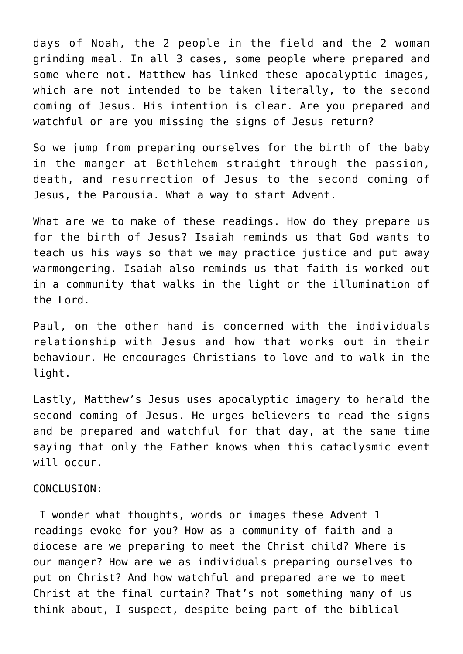days of Noah, the 2 people in the field and the 2 woman grinding meal. In all 3 cases, some people where prepared and some where not. Matthew has linked these apocalyptic images, which are not intended to be taken literally, to the second coming of Jesus. His intention is clear. Are you prepared and watchful or are you missing the signs of Jesus return?

So we jump from preparing ourselves for the birth of the baby in the manger at Bethlehem straight through the passion, death, and resurrection of Jesus to the second coming of Jesus, the Parousia. What a way to start Advent.

What are we to make of these readings. How do they prepare us for the birth of Jesus? Isaiah reminds us that God wants to teach us his ways so that we may practice justice and put away warmongering. Isaiah also reminds us that faith is worked out in a community that walks in the light or the illumination of the Lord.

Paul, on the other hand is concerned with the individuals relationship with Jesus and how that works out in their behaviour. He encourages Christians to love and to walk in the light.

Lastly, Matthew's Jesus uses apocalyptic imagery to herald the second coming of Jesus. He urges believers to read the signs and be prepared and watchful for that day, at the same time saying that only the Father knows when this cataclysmic event will occur.

## CONCLUSION:

 I wonder what thoughts, words or images these Advent 1 readings evoke for you? How as a community of faith and a diocese are we preparing to meet the Christ child? Where is our manger? How are we as individuals preparing ourselves to put on Christ? And how watchful and prepared are we to meet Christ at the final curtain? That's not something many of us think about, I suspect, despite being part of the biblical